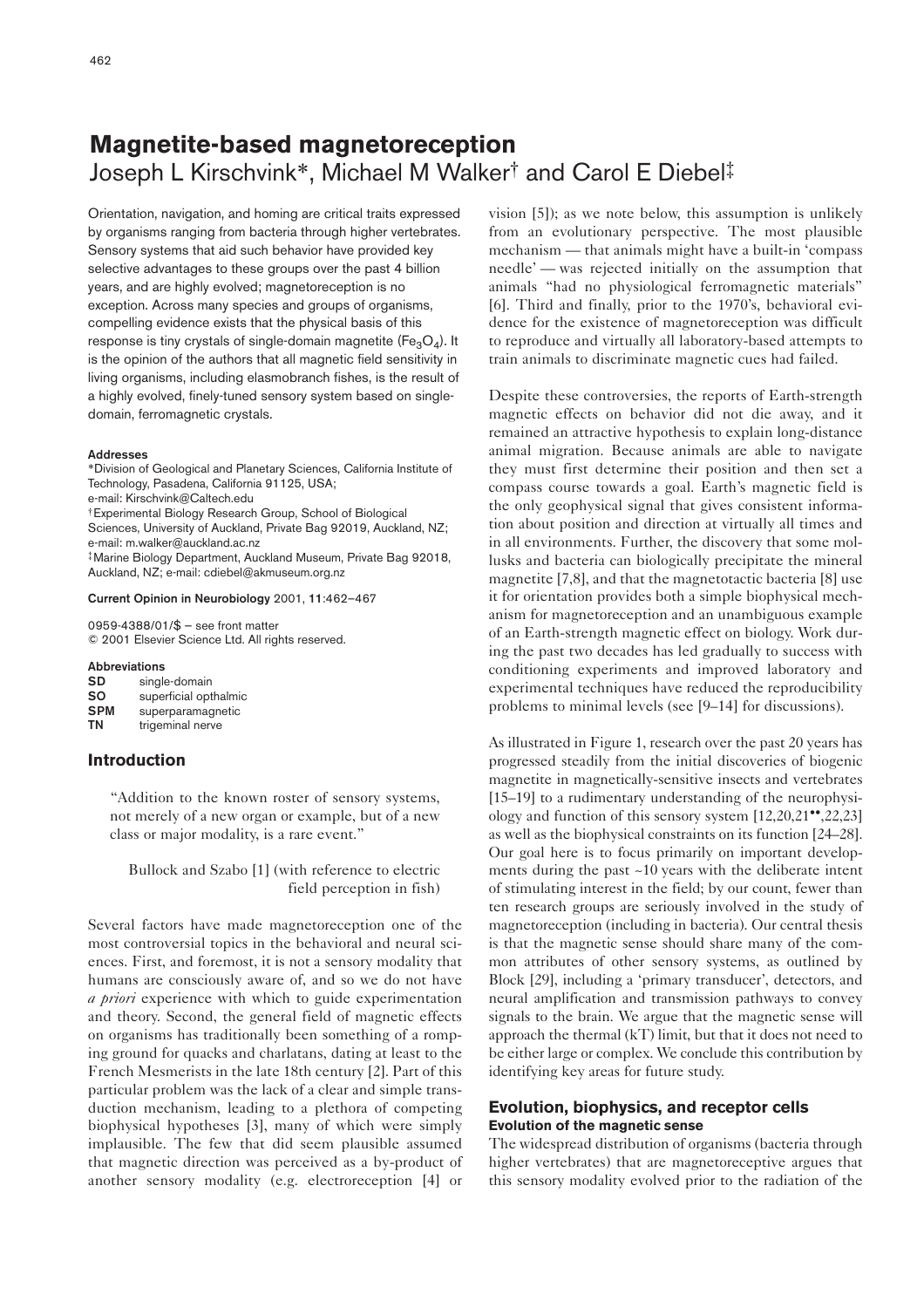# **Magnetite-based magnetoreception** Joseph L Kirschvink\*, Michael M Walker† and Carol E Diebel‡

Orientation, navigation, and homing are critical traits expressed by organisms ranging from bacteria through higher vertebrates. Sensory systems that aid such behavior have provided key selective advantages to these groups over the past 4 billion years, and are highly evolved; magnetoreception is no exception. Across many species and groups of organisms, compelling evidence exists that the physical basis of this response is tiny crystals of single-domain magnetite  $(F_{\alpha_3}O_4)$ . It is the opinion of the authors that all magnetic field sensitivity in living organisms, including elasmobranch fishes, is the result of a highly evolved, finely-tuned sensory system based on singledomain, ferromagnetic crystals.

#### **Addresses**

\*Division of Geological and Planetary Sciences, California Institute of Technology, Pasadena, California 91125, USA;

- e-mail: Kirschvink@Caltech.edu
- †Experimental Biology Research Group, School of Biological

Sciences, University of Auckland, Private Bag 92019, Auckland, NZ; e-mail: m.walker@auckland.ac.nz

‡Marine Biology Department, Auckland Museum, Private Bag 92018, Auckland, NZ; e-mail: cdiebel@akmuseum.org.nz

#### **Current Opinion in Neurobiology** 2001, **11**:462–467

0959-4388/01/\$ — see front matter © 2001 Elsevier Science Ltd. All rights reserved.

#### **Abbreviations**

| <b>SD</b>  | single-domain         |
|------------|-----------------------|
| <b>SO</b>  | superficial opthalmic |
| <b>SPM</b> | superparamagnetic     |
| ΤN         | trigeminal nerve      |

# **Introduction**

"Addition to the known roster of sensory systems, not merely of a new organ or example, but of a new class or major modality, is a rare event."

Bullock and Szabo [1] (with reference to electric field perception in fish)

Several factors have made magnetoreception one of the most controversial topics in the behavioral and neural sciences. First, and foremost, it is not a sensory modality that humans are consciously aware of, and so we do not have *a priori* experience with which to guide experimentation and theory. Second, the general field of magnetic effects on organisms has traditionally been something of a romping ground for quacks and charlatans, dating at least to the French Mesmerists in the late 18th century [2]. Part of this particular problem was the lack of a clear and simple transduction mechanism, leading to a plethora of competing biophysical hypotheses [3], many of which were simply implausible. The few that did seem plausible assumed that magnetic direction was perceived as a by-product of another sensory modality (e.g. electroreception [4] or vision [5]); as we note below, this assumption is unlikely from an evolutionary perspective. The most plausible mechanism — that animals might have a built-in 'compass needle' — was rejected initially on the assumption that animals "had no physiological ferromagnetic materials" [6]. Third and finally, prior to the 1970's, behavioral evidence for the existence of magnetoreception was difficult to reproduce and virtually all laboratory-based attempts to train animals to discriminate magnetic cues had failed.

Despite these controversies, the reports of Earth-strength magnetic effects on behavior did not die away, and it remained an attractive hypothesis to explain long-distance animal migration. Because animals are able to navigate they must first determine their position and then set a compass course towards a goal. Earth's magnetic field is the only geophysical signal that gives consistent information about position and direction at virtually all times and in all environments. Further, the discovery that some mollusks and bacteria can biologically precipitate the mineral magnetite [7,8], and that the magnetotactic bacteria [8] use it for orientation provides both a simple biophysical mechanism for magnetoreception and an unambiguous example of an Earth-strength magnetic effect on biology. Work during the past two decades has led gradually to success with conditioning experiments and improved laboratory and experimental techniques have reduced the reproducibility problems to minimal levels (see [9–14] for discussions).

As illustrated in Figure 1, research over the past 20 years has progressed steadily from the initial discoveries of biogenic magnetite in magnetically-sensitive insects and vertebrates [15–19] to a rudimentary understanding of the neurophysiology and function of this sensory system [12,20,21••,22,23] as well as the biophysical constraints on its function [24–28]. Our goal here is to focus primarily on important developments during the past  $~10$  years with the deliberate intent of stimulating interest in the field; by our count, fewer than ten research groups are seriously involved in the study of magnetoreception (including in bacteria). Our central thesis is that the magnetic sense should share many of the common attributes of other sensory systems, as outlined by Block [29], including a 'primary transducer', detectors, and neural amplification and transmission pathways to convey signals to the brain. We argue that the magnetic sense will approach the thermal (kT) limit, but that it does not need to be either large or complex. We conclude this contribution by identifying key areas for future study.

## **Evolution, biophysics, and receptor cells Evolution of the magnetic sense**

The widespread distribution of organisms (bacteria through higher vertebrates) that are magnetoreceptive argues that this sensory modality evolved prior to the radiation of the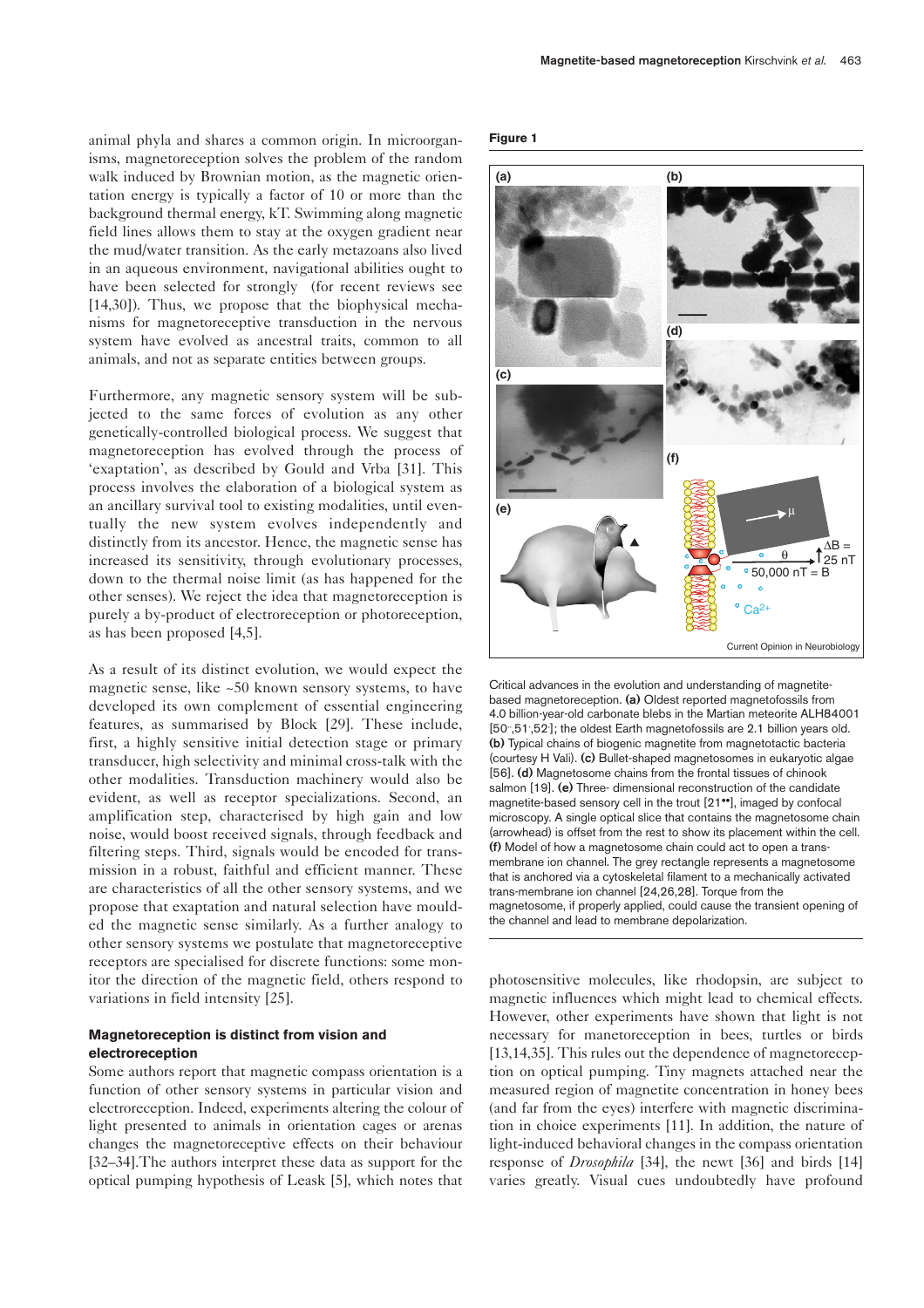animal phyla and shares a common origin. In microorganisms, magnetoreception solves the problem of the random walk induced by Brownian motion, as the magnetic orientation energy is typically a factor of 10 or more than the background thermal energy, kT. Swimming along magnetic field lines allows them to stay at the oxygen gradient near the mud/water transition. As the early metazoans also lived in an aqueous environment, navigational abilities ought to have been selected for strongly (for recent reviews see [14,30]). Thus, we propose that the biophysical mechanisms for magnetoreceptive transduction in the nervous system have evolved as ancestral traits, common to all animals, and not as separate entities between groups.

Furthermore, any magnetic sensory system will be subjected to the same forces of evolution as any other genetically-controlled biological process. We suggest that magnetoreception has evolved through the process of 'exaptation', as described by Gould and Vrba [31]. This process involves the elaboration of a biological system as an ancillary survival tool to existing modalities, until eventually the new system evolves independently and distinctly from its ancestor. Hence, the magnetic sense has increased its sensitivity, through evolutionary processes, down to the thermal noise limit (as has happened for the other senses). We reject the idea that magnetoreception is purely a by-product of electroreception or photoreception, as has been proposed [4,5].

As a result of its distinct evolution, we would expect the magnetic sense, like ~50 known sensory systems, to have developed its own complement of essential engineering features, as summarised by Block [29]. These include, first, a highly sensitive initial detection stage or primary transducer, high selectivity and minimal cross-talk with the other modalities. Transduction machinery would also be evident, as well as receptor specializations. Second, an amplification step, characterised by high gain and low noise, would boost received signals, through feedback and filtering steps. Third, signals would be encoded for transmission in a robust, faithful and efficient manner. These are characteristics of all the other sensory systems, and we propose that exaptation and natural selection have moulded the magnetic sense similarly. As a further analogy to other sensory systems we postulate that magnetoreceptive receptors are specialised for discrete functions: some monitor the direction of the magnetic field, others respond to variations in field intensity [25].

## **Magnetoreception is distinct from vision and electroreception**

Some authors report that magnetic compass orientation is a function of other sensory systems in particular vision and electroreception. Indeed, experiments altering the colour of light presented to animals in orientation cages or arenas changes the magnetoreceptive effects on their behaviour [32–34].The authors interpret these data as support for the optical pumping hypothesis of Leask [5], which notes that

#### **Figure 1**



Critical advances in the evolution and understanding of magnetitebased magnetoreception. **(a)** Oldest reported magnetofossils from 4.0 billion-year-old carbonate blebs in the Martian meteorite ALH84001 [50", 51", 52]; the oldest Earth magnetofossils are 2.1 billion years old. **(b)** Typical chains of biogenic magnetite from magnetotactic bacteria (courtesy H Vali). **(c)** Bullet-shaped magnetosomes in eukaryotic algae [56]. **(d)** Magnetosome chains from the frontal tissues of chinook salmon [19]. **(e)** Three- dimensional reconstruction of the candidate magnetite-based sensory cell in the trout [21••], imaged by confocal microscopy. A single optical slice that contains the magnetosome chain (arrowhead) is offset from the rest to show its placement within the cell. **(f)** Model of how a magnetosome chain could act to open a transmembrane ion channel. The grey rectangle represents a magnetosome that is anchored via a cytoskeletal filament to a mechanically activated trans-membrane ion channel [24,26,28]. Torque from the magnetosome, if properly applied, could cause the transient opening of the channel and lead to membrane depolarization.

photosensitive molecules, like rhodopsin, are subject to magnetic influences which might lead to chemical effects. However, other experiments have shown that light is not necessary for manetoreception in bees, turtles or birds [13,14,35]. This rules out the dependence of magnetoreception on optical pumping. Tiny magnets attached near the measured region of magnetite concentration in honey bees (and far from the eyes) interfere with magnetic discrimination in choice experiments [11]. In addition, the nature of light-induced behavioral changes in the compass orientation response of *Drosophila* [34], the newt [36] and birds [14] varies greatly. Visual cues undoubtedly have profound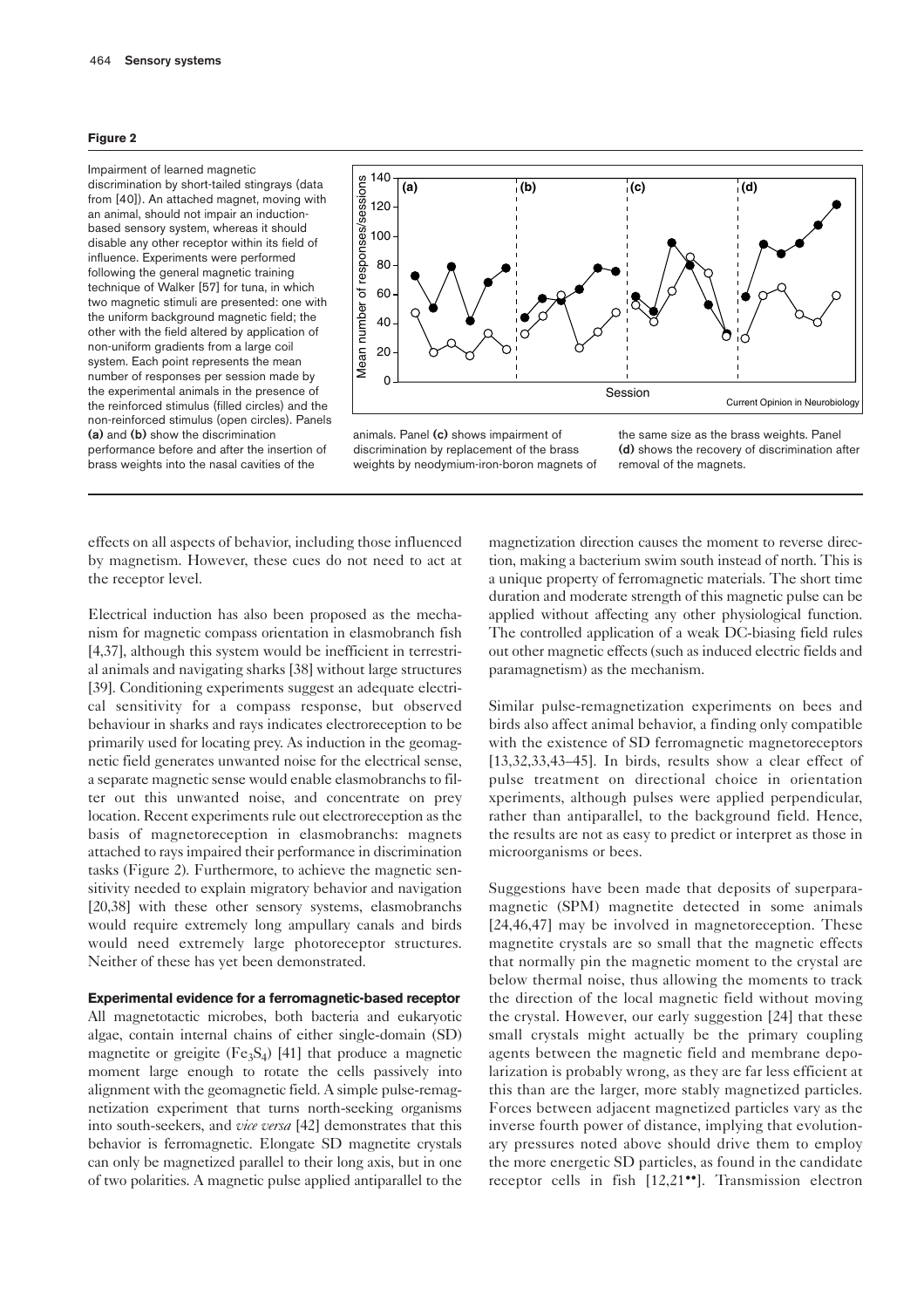#### **Figure 2**

Impairment of learned magnetic discrimination by short-tailed stingrays (data from [40]). An attached magnet, moving with an animal, should not impair an inductionbased sensory system, whereas it should disable any other receptor within its field of influence. Experiments were performed following the general magnetic training technique of Walker [57] for tuna, in which two magnetic stimuli are presented: one with the uniform background magnetic field; the other with the field altered by application of non-uniform gradients from a large coil system. Each point represents the mean number of responses per session made by the experimental animals in the presence of the reinforced stimulus (filled circles) and the non-reinforced stimulus (open circles). Panels **(a)** and **(b)** show the discrimination performance before and after the insertion of brass weights into the nasal cavities of the



animals. Panel **(c)** shows impairment of discrimination by replacement of the brass weights by neodymium-iron-boron magnets of the same size as the brass weights. Panel **(d)** shows the recovery of discrimination after removal of the magnets.

effects on all aspects of behavior, including those influenced by magnetism. However, these cues do not need to act at the receptor level.

Electrical induction has also been proposed as the mechanism for magnetic compass orientation in elasmobranch fish [4,37], although this system would be inefficient in terrestrial animals and navigating sharks [38] without large structures [39]. Conditioning experiments suggest an adequate electrical sensitivity for a compass response, but observed behaviour in sharks and rays indicates electroreception to be primarily used for locating prey. As induction in the geomagnetic field generates unwanted noise for the electrical sense, a separate magnetic sense would enable elasmobranchs to filter out this unwanted noise, and concentrate on prey location. Recent experiments rule out electroreception as the basis of magnetoreception in elasmobranchs: magnets attached to rays impaired their performance in discrimination tasks (Figure 2). Furthermore, to achieve the magnetic sensitivity needed to explain migratory behavior and navigation [20,38] with these other sensory systems, elasmobranchs would require extremely long ampullary canals and birds would need extremely large photoreceptor structures. Neither of these has yet been demonstrated.

## **Experimental evidence for a ferromagnetic-based receptor**

All magnetotactic microbes, both bacteria and eukaryotic algae, contain internal chains of either single-domain (SD) magnetite or greigite  $(Fe_3S_4)$  [41] that produce a magnetic moment large enough to rotate the cells passively into alignment with the geomagnetic field. A simple pulse-remagnetization experiment that turns north-seeking organisms into south-seekers, and *vice versa* [42] demonstrates that this behavior is ferromagnetic. Elongate SD magnetite crystals can only be magnetized parallel to their long axis, but in one of two polarities. A magnetic pulse applied antiparallel to the magnetization direction causes the moment to reverse direction, making a bacterium swim south instead of north. This is a unique property of ferromagnetic materials. The short time duration and moderate strength of this magnetic pulse can be applied without affecting any other physiological function. The controlled application of a weak DC-biasing field rules out other magnetic effects (such as induced electric fields and paramagnetism) as the mechanism.

Similar pulse-remagnetization experiments on bees and birds also affect animal behavior, a finding only compatible with the existence of SD ferromagnetic magnetoreceptors [13,32,33,43–45]. In birds, results show a clear effect of pulse treatment on directional choice in orientation xperiments, although pulses were applied perpendicular, rather than antiparallel, to the background field. Hence, the results are not as easy to predict or interpret as those in microorganisms or bees.

Suggestions have been made that deposits of superparamagnetic (SPM) magnetite detected in some animals [24,46,47] may be involved in magnetoreception. These magnetite crystals are so small that the magnetic effects that normally pin the magnetic moment to the crystal are below thermal noise, thus allowing the moments to track the direction of the local magnetic field without moving the crystal. However, our early suggestion [24] that these small crystals might actually be the primary coupling agents between the magnetic field and membrane depolarization is probably wrong, as they are far less efficient at this than are the larger, more stably magnetized particles. Forces between adjacent magnetized particles vary as the inverse fourth power of distance, implying that evolutionary pressures noted above should drive them to employ the more energetic SD particles, as found in the candidate receptor cells in fish [12,21••]. Transmission electron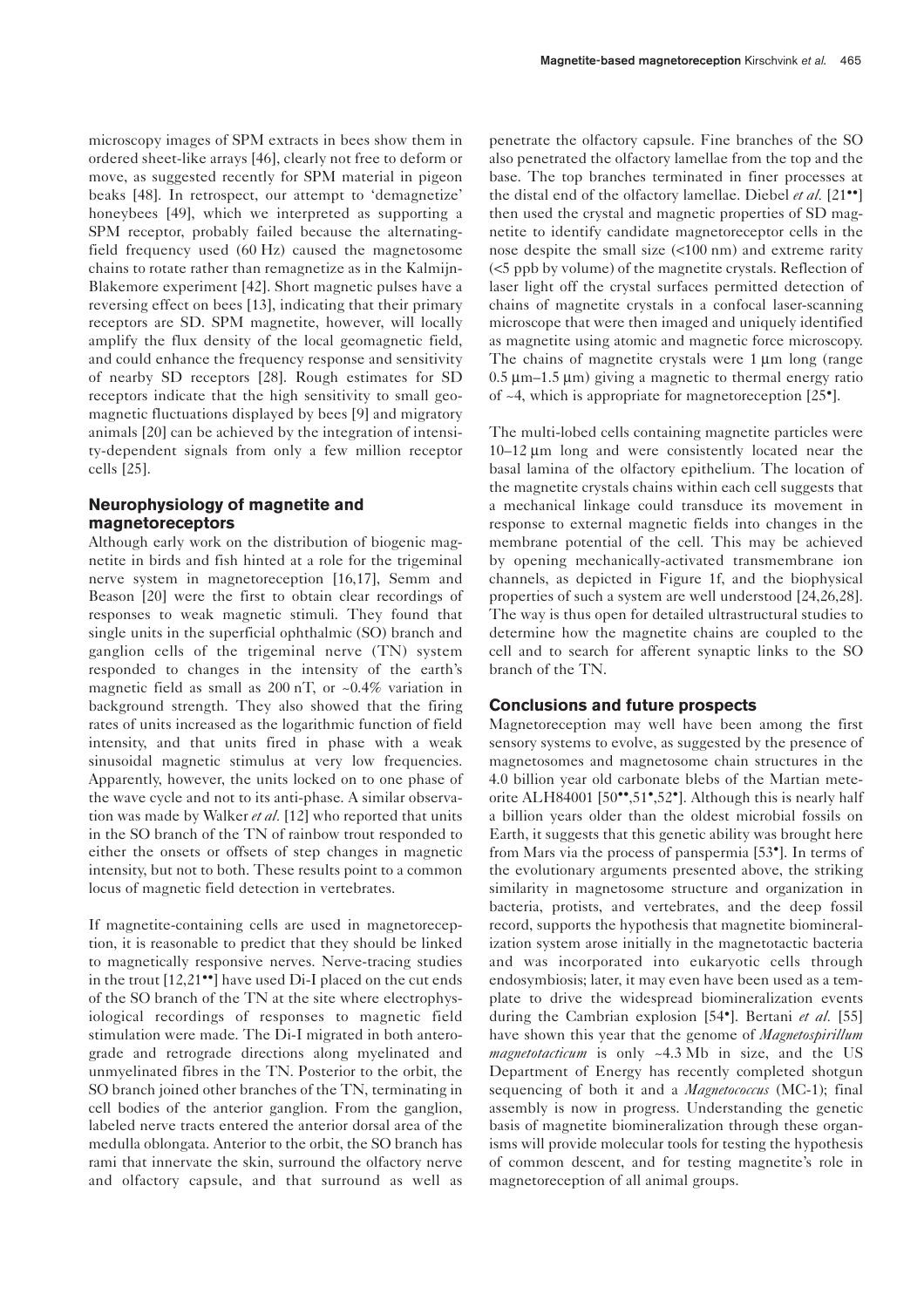microscopy images of SPM extracts in bees show them in ordered sheet-like arrays [46], clearly not free to deform or move, as suggested recently for SPM material in pigeon beaks [48]. In retrospect, our attempt to 'demagnetize' honeybees [49], which we interpreted as supporting a SPM receptor, probably failed because the alternatingfield frequency used (60 Hz) caused the magnetosome chains to rotate rather than remagnetize as in the Kalmijn-Blakemore experiment [42]. Short magnetic pulses have a reversing effect on bees [13], indicating that their primary receptors are SD. SPM magnetite, however, will locally amplify the flux density of the local geomagnetic field, and could enhance the frequency response and sensitivity of nearby SD receptors [28]. Rough estimates for SD receptors indicate that the high sensitivity to small geomagnetic fluctuations displayed by bees [9] and migratory animals [20] can be achieved by the integration of intensity-dependent signals from only a few million receptor cells [25].

# **Neurophysiology of magnetite and magnetoreceptors**

Although early work on the distribution of biogenic magnetite in birds and fish hinted at a role for the trigeminal nerve system in magnetoreception [16,17], Semm and Beason [20] were the first to obtain clear recordings of responses to weak magnetic stimuli. They found that single units in the superficial ophthalmic (SO) branch and ganglion cells of the trigeminal nerve (TN) system responded to changes in the intensity of the earth's magnetic field as small as 200 nT, or ~0.4% variation in background strength. They also showed that the firing rates of units increased as the logarithmic function of field intensity, and that units fired in phase with a weak sinusoidal magnetic stimulus at very low frequencies. Apparently, however, the units locked on to one phase of the wave cycle and not to its anti-phase. A similar observation was made by Walker *et al.* [12] who reported that units in the SO branch of the TN of rainbow trout responded to either the onsets or offsets of step changes in magnetic intensity, but not to both. These results point to a common locus of magnetic field detection in vertebrates.

If magnetite-containing cells are used in magnetoreception, it is reasonable to predict that they should be linked to magnetically responsive nerves. Nerve-tracing studies in the trout [12,21••] have used Di-I placed on the cut ends of the SO branch of the TN at the site where electrophysiological recordings of responses to magnetic field stimulation were made. The Di-I migrated in both anterograde and retrograde directions along myelinated and unmyelinated fibres in the TN. Posterior to the orbit, the SO branch joined other branches of the TN, terminating in cell bodies of the anterior ganglion. From the ganglion, labeled nerve tracts entered the anterior dorsal area of the medulla oblongata. Anterior to the orbit, the SO branch has rami that innervate the skin, surround the olfactory nerve and olfactory capsule, and that surround as well as penetrate the olfactory capsule. Fine branches of the SO also penetrated the olfactory lamellae from the top and the base. The top branches terminated in finer processes at the distal end of the olfactory lamellae. Diebel *et al.* [21••] then used the crystal and magnetic properties of SD magnetite to identify candidate magnetoreceptor cells in the nose despite the small size (<100 nm) and extreme rarity (<5 ppb by volume) of the magnetite crystals. Reflection of laser light off the crystal surfaces permitted detection of chains of magnetite crystals in a confocal laser-scanning microscope that were then imaged and uniquely identified as magnetite using atomic and magnetic force microscopy. The chains of magnetite crystals were 1  $\mu$ m long (range  $0.5 \mu m$ –1.5  $\mu$ m) giving a magnetic to thermal energy ratio of  $~4$ , which is appropriate for magnetoreception [25 $^{\circ}$ ].

The multi-lobed cells containing magnetite particles were 10–12 µm long and were consistently located near the basal lamina of the olfactory epithelium. The location of the magnetite crystals chains within each cell suggests that a mechanical linkage could transduce its movement in response to external magnetic fields into changes in the membrane potential of the cell. This may be achieved by opening mechanically-activated transmembrane ion channels, as depicted in Figure 1f, and the biophysical properties of such a system are well understood [24,26,28]. The way is thus open for detailed ultrastructural studies to determine how the magnetite chains are coupled to the cell and to search for afferent synaptic links to the SO branch of the TN.

## **Conclusions and future prospects**

Magnetoreception may well have been among the first sensory systems to evolve, as suggested by the presence of magnetosomes and magnetosome chain structures in the 4.0 billion year old carbonate blebs of the Martian meteorite ALH84001 [50••,51•,52•]. Although this is nearly half a billion years older than the oldest microbial fossils on Earth, it suggests that this genetic ability was brought here from Mars via the process of panspermia [53•]. In terms of the evolutionary arguments presented above, the striking similarity in magnetosome structure and organization in bacteria, protists, and vertebrates, and the deep fossil record, supports the hypothesis that magnetite biomineralization system arose initially in the magnetotactic bacteria and was incorporated into eukaryotic cells through endosymbiosis; later, it may even have been used as a template to drive the widespread biomineralization events during the Cambrian explosion [54•]. Bertani *et al.* [55] have shown this year that the genome of *Magnetospirillum magnetotacticum* is only ~4.3 Mb in size, and the US Department of Energy has recently completed shotgun sequencing of both it and a *Magnetococcus* (MC-1); final assembly is now in progress. Understanding the genetic basis of magnetite biomineralization through these organisms will provide molecular tools for testing the hypothesis of common descent, and for testing magnetite's role in magnetoreception of all animal groups.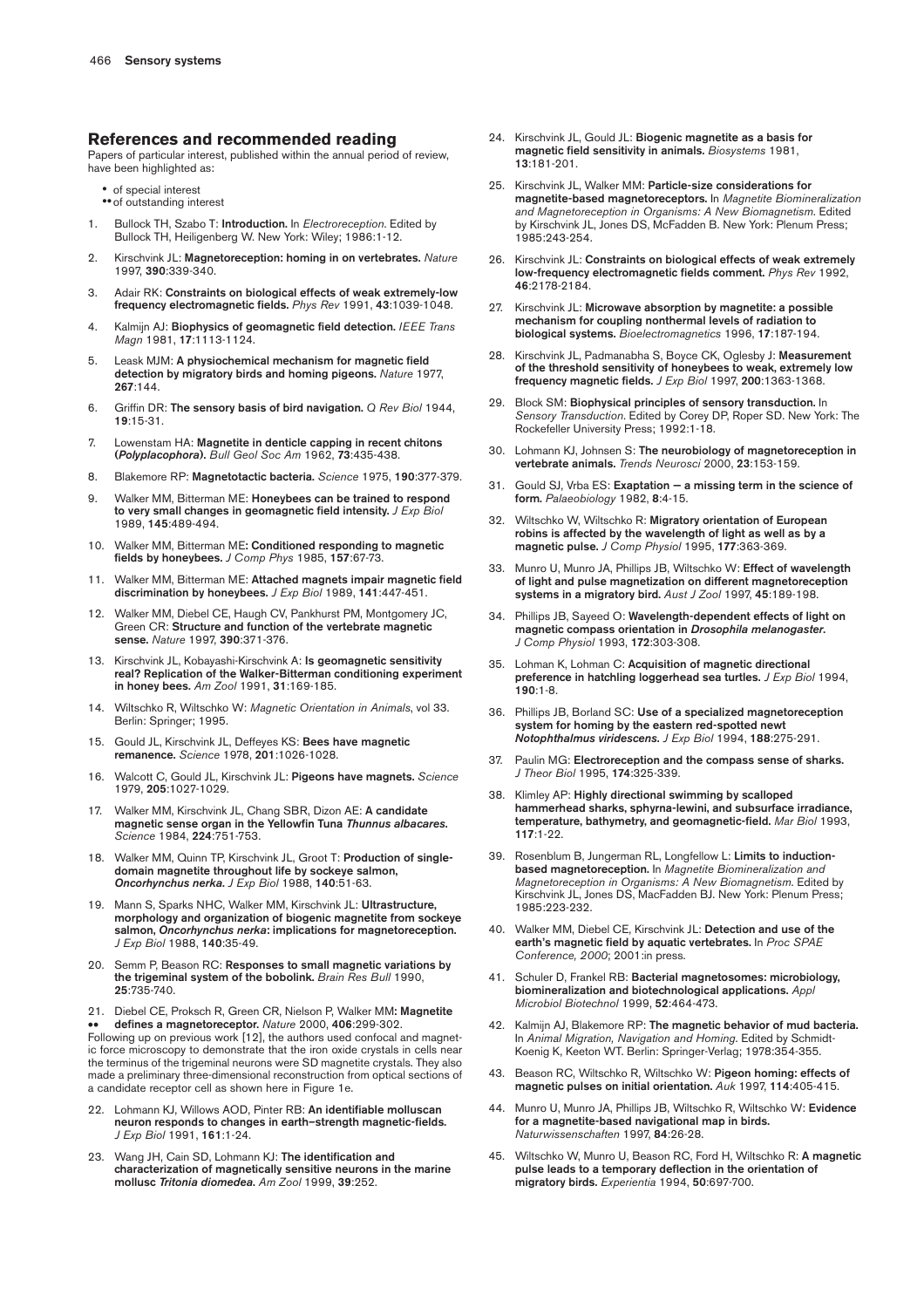#### **References and recommended reading**

Papers of particular interest, published within the annual period of review, have been highlighted as:

- of special interest
- ••of outstanding interest
- 1. Bullock TH, Szabo T: **Introduction.** In *Electroreception*. Edited by Bullock TH, Heiligenberg W. New York: Wiley; 1986:1-12.
- 2. Kirschvink JL: **Magnetoreception: homing in on vertebrates.** *Nature* 1997, **390**:339-340.
- 3. Adair RK: **Constraints on biological effects of weak extremely-low frequency electromagnetic fields.** *Phys Rev* 1991, **43**:1039-1048.
- 4. Kalmijn AJ: **Biophysics of geomagnetic field detection.** *IEEE Trans Magn* 1981, **17**:1113-1124.
- 5. Leask MJM: **A physiochemical mechanism for magnetic field detection by migratory birds and homing pigeons.** *Nature* 1977, **267**:144.
- 6. Griffin DR: **The sensory basis of bird navigation.** *Q Rev Biol* 1944, **19**:15-31.
- 7. Lowenstam HA: **Magnetite in denticle capping in recent chitons (***Polyplacophora***).** *Bull Geol Soc Am* 1962, **73**:435-438.
- 8. Blakemore RP: **Magnetotactic bacteria.** *Science* 1975, **190**:377-379.
- 9. Walker MM, Bitterman ME: **Honeybees can be trained to respond to very small changes in geomagnetic field intensity.** *J Exp Biol* 1989, **145**:489-494.
- 10. Walker MM, Bitterman ME**: Conditioned responding to magnetic fields by honeybees.** *J Comp Phys* 1985, **157**:67-73.
- 11. Walker MM, Bitterman ME: **Attached magnets impair magnetic field discrimination by honeybees.** *J Exp Biol* 1989, **141**:447-451.
- 12. Walker MM, Diebel CE, Haugh CV, Pankhurst PM, Montgomery JC, Green CR: **Structure and function of the vertebrate magnetic sense.** *Nature* 1997, **390**:371-376.
- 13. Kirschvink JL, Kobayashi-Kirschvink A: **Is geomagnetic sensitivity real? Replication of the Walker-Bitterman conditioning experiment in honey bees.** *Am Zool* 1991, **31**:169-185.
- 14. Wiltschko R, Wiltschko W: *Magnetic Orientation in Animals*, vol 33. Berlin: Springer; 1995.
- 15. Gould JL, Kirschvink JL, Deffeyes KS: **Bees have magnetic remanence.** *Science* 1978, **201**:1026-1028.
- 16. Walcott C, Gould JL, Kirschvink JL: **Pigeons have magnets.** *Science* 1979, **205**:1027-1029.
- 17. Walker MM, Kirschvink JL, Chang SBR, Dizon AE: **A candidate magnetic sense organ in the Yellowfin Tuna** *Thunnus albacares***.** *Science* 1984, **224**:751-753.
- 18. Walker MM, Quinn TP, Kirschvink JL, Groot T: **Production of singledomain magnetite throughout life by sockeye salmon,** *Oncorhynchus nerka***.** *J Exp Biol* 1988, **140**:51-63.
- 19. Mann S, Sparks NHC, Walker MM, Kirschvink JL: **Ultrastructure, morphology and organization of biogenic magnetite from sockeye salmon,** *Oncorhynchus nerka***: implications for magnetoreception.** *J Exp Biol* 1988, **140**:35-49.
- 20. Semm P, Beason RC: **Responses to small magnetic variations by the trigeminal system of the bobolink.** *Brain Res Bull* 1990, **25**:735-740.
- 21. Diebel CE, Proksch R, Green CR, Nielson P, Walker MM**: Magnetite**  •• **defines a magnetoreceptor.** *Nature* 2000, **406**:299-302. Following up on previous work [12], the authors used confocal and magnetic force microscopy to demonstrate that the iron oxide crystals in cells near the terminus of the trigeminal neurons were SD magnetite crystals. They also made a preliminary three-dimensional reconstruction from optical sections of a candidate receptor cell as shown here in Figure 1e.
- 22. Lohmann KJ, Willows AOD, Pinter RB: **An identifiable molluscan neuron responds to changes in earth–strength magnetic-fields.** *J Exp Biol* 1991, **161**:1-24.
- 23. Wang JH, Cain SD, Lohmann KJ: **The identification and characterization of magnetically sensitive neurons in the marine mollusc** *Tritonia diomedea***.** *Am Zool* 1999, **39**:252.
- 24. Kirschvink JL, Gould JL: **Biogenic magnetite as a basis for magnetic field sensitivity in animals.** *Biosystems* 1981, **13**:181-201.
- 25. Kirschvink JL, Walker MM: **Particle-size considerations for magnetite-based magnetoreceptors.** In *Magnetite Biomineralization and Magnetoreception in Organisms: A New Biomagnetism*. Edited by Kirschvink JL, Jones DS, McFadden B. New York: Plenum Press; 1985:243-254.
- 26. Kirschvink JL: **Constraints on biological effects of weak extremely low-frequency electromagnetic fields comment.** *Phys Rev* 1992, **46**:2178-2184.
- 27. Kirschvink JL: **Microwave absorption by magnetite: a possible mechanism for coupling nonthermal levels of radiation to biological systems.** *Bioelectromagnetics* 1996, **17**:187-194.
- 28. Kirschvink JL, Padmanabha S, Boyce CK, Oglesby J: **Measurement of the threshold sensitivity of honeybees to weak, extremely low frequency magnetic fields.** *J Exp Biol* 1997, **200**:1363-1368.
- 29. Block SM: **Biophysical principles of sensory transduction.** In *Sensory Transduction*. Edited by Corey DP, Roper SD. New York: The Rockefeller University Press; 1992:1-18.
- 30. Lohmann KJ, Johnsen S: **The neurobiology of magnetoreception in vertebrate animals.** *Trends Neurosci* 2000, **23**:153-159.
- 31. Gould SJ, Vrba ES: **Exaptation a missing term in the science of form.** *Palaeobiology* 1982, **8**:4-15.
- 32. Wiltschko W, Wiltschko R: **Migratory orientation of European robins is affected by the wavelength of light as well as by a magnetic pulse.** *J Comp Physiol* 1995, **177**:363-369.
- 33. Munro U, Munro JA, Phillips JB, Wiltschko W: **Effect of wavelength of light and pulse magnetization on different magnetoreception systems in a migratory bird.** *Aust J Zool* 1997, **45**:189-198.
- 34. Phillips JB, Sayeed O: **Wavelength-dependent effects of light on magnetic compass orientation in** *Drosophila melanogaster***.** *J Comp Physiol* 1993, **172**:303-308.
- 35. Lohman K, Lohman C: **Acquisition of magnetic directional preference in hatchling loggerhead sea turtles.** *J Exp Biol* 1994, **190**:1-8.
- 36. Phillips JB, Borland SC: **Use of a specialized magnetoreception system for homing by the eastern red-spotted newt** *Notophthalmus viridescens***.** *J Exp Biol* 1994, **188**:275-291.
- 37. Paulin MG: **Electroreception and the compass sense of sharks.** *J Theor Biol* 1995, **174**:325-339.
- 38. Klimley AP: **Highly directional swimming by scalloped hammerhead sharks, sphyrna-lewini, and subsurface irradiance, temperature, bathymetry, and geomagnetic-field.** *Mar Biol* 1993, **117**:1-22.
- 39. Rosenblum B, Jungerman RL, Longfellow L: **Limits to inductionbased magnetoreception.** In *Magnetite Biomineralization and Magnetoreception in Organisms: A New Biomagnetism*. Edited by Kirschvink JL, Jones DS, MacFadden BJ. New York: Plenum Press; 1985:223-232.
- 40. Walker MM, Diebel CE, Kirschvink JL: **Detection and use of the earth's magnetic field by aquatic vertebrates.** In *Proc SPAE Conference, 2000*; 2001:in press.
- 41. Schuler D, Frankel RB: **Bacterial magnetosomes: microbiology, biomineralization and biotechnological applications.** *Appl Microbiol Biotechnol* 1999, **52**:464-473.
- 42. Kalmijn AJ, Blakemore RP: **The magnetic behavior of mud bacteria.** In *Animal Migration, Navigation and Homing*. Edited by Schmidt-Koenig K, Keeton WT. Berlin: Springer-Verlag; 1978:354-355.
- 43. Beason RC, Wiltschko R, Wiltschko W: **Pigeon homing: effects of magnetic pulses on initial orientation.** *Auk* 1997, **114**:405-415.
- 44. Munro U, Munro JA, Phillips JB, Wiltschko R, Wiltschko W: **Evidence for a magnetite-based navigational map in birds.** *Naturwissenschaften* 1997, **84**:26-28.
- 45. Wiltschko W, Munro U, Beason RC, Ford H, Wiltschko R: **A magnetic pulse leads to a temporary deflection in the orientation of migratory birds.** *Experientia* 1994, **50**:697-700.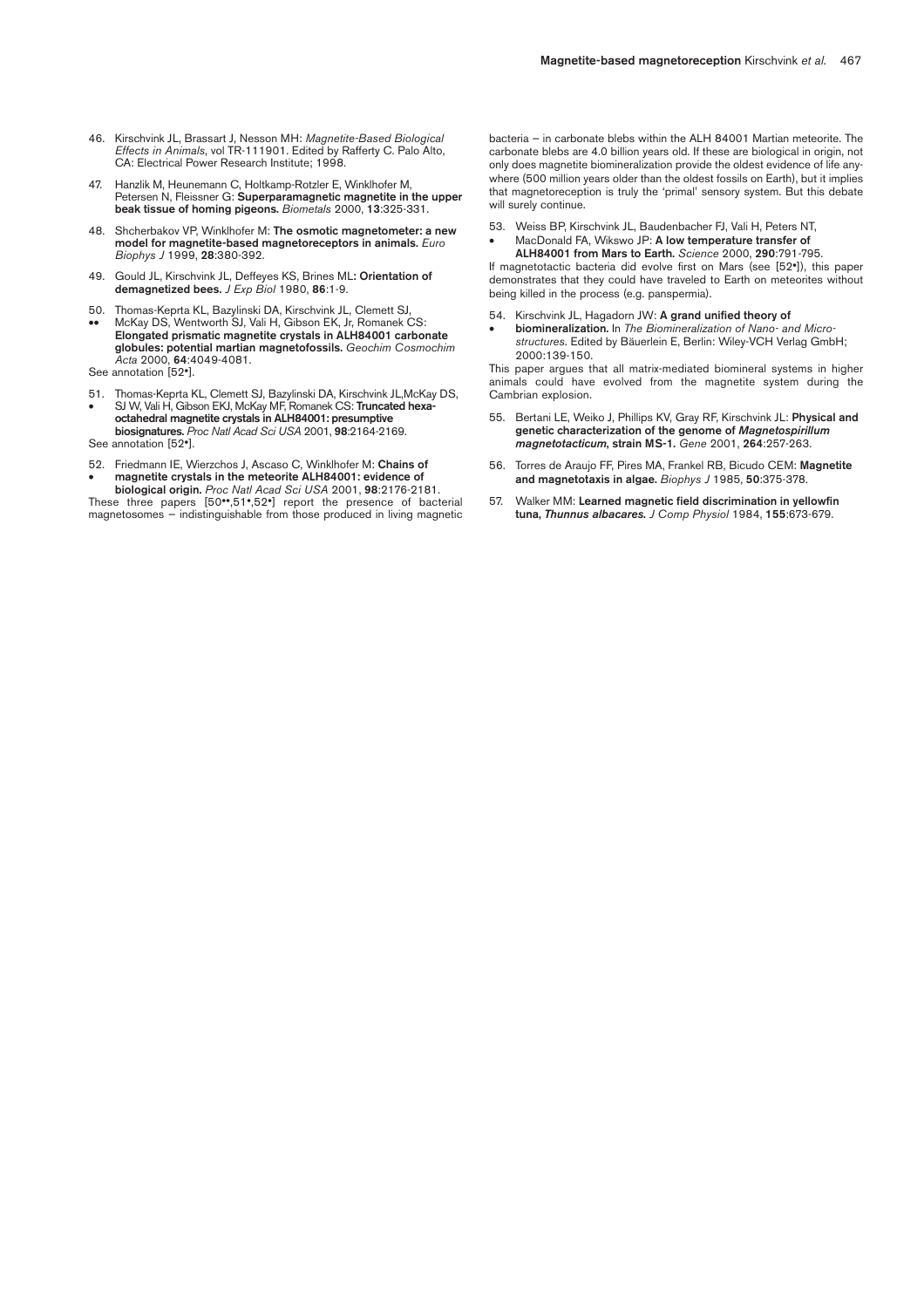- 46. Kirschvink JL, Brassart J, Nesson MH: *Magnetite-Based Biological Effects in Animals*, vol TR-111901. Edited by Rafferty C. Palo Alto, CA: Electrical Power Research Institute; 1998.
- 47. Hanzlik M, Heunemann C, Holtkamp-Rotzler E, Winklhofer M, Petersen N, Fleissner G: **Superparamagnetic magnetite in the upper beak tissue of homing pigeons.** *Biometals* 2000, **13**:325-331.
- 48. Shcherbakov VP, Winklhofer M: **The osmotic magnetometer: a new model for magnetite-based magnetoreceptors in animals.** *Euro Biophys J* 1999, **28**:380-392.
- 49. Gould JL, Kirschvink JL, Deffeyes KS, Brines ML**: Orientation of demagnetized bees.** *J Exp Biol* 1980, **86**:1-9.
- 50. Thomas-Keprta KL, Bazylinski DA, Kirschvink JL, Clemett SJ, •• McKay DS, Wentworth SJ, Vali H, Gibson EK, Jr, Romanek CS: **Elongated prismatic magnetite crystals in ALH84001 carbonate globules: potential martian magnetofossils.** *Geochim Cosmochim Acta* 2000, **64**:4049-4081.

See annotation [52•].

51. Thomas-Keprta KL, Clemett SJ, Bazylinski DA, Kirschvink JL,McKay DS, • SJ W, Vali H, Gibson EKJ, McKay MF, Romanek CS: **Truncated hexaoctahedral magnetite crystals in ALH84001: presumptive biosignatures.** *Proc Natl Acad Sci USA* 2001, **98**:2164-2169.

See annotation [52<sup>•</sup>].

52. Friedmann IE, Wierzchos J, Ascaso C, Winklhofer M: **Chains of**  • **magnetite crystals in the meteorite ALH84001: evidence of**

**biological origin.** *Proc Natl Acad Sci USA* 2001, **98**:2176-2181. These three papers  $[50^{\circ\circ}, 51^{\circ}, 52^{\circ}]$  report the presence of bacterial magnetosomes — indistinguishable from those produced in living magnetic bacteria — in carbonate blebs within the ALH 84001 Martian meteorite. The carbonate blebs are 4.0 billion years old. If these are biological in origin, not only does magnetite biomineralization provide the oldest evidence of life anywhere (500 million years older than the oldest fossils on Earth), but it implies that magnetoreception is truly the 'primal' sensory system. But this debate will surely continue.

53. Weiss BP, Kirschvink JL, Baudenbacher FJ, Vali H, Peters NT, • MacDonald FA, Wikswo JP: **A low temperature transfer of**

**ALH84001 from Mars to Earth.** *Science* 2000, **290**:791-795. If magnetotactic bacteria did evolve first on Mars (see [52<sup>•]</sup>), this paper

demonstrates that they could have traveled to Earth on meteorites without being killed in the process (e.g. panspermia).

- 54. Kirschvink JL, Hagadorn JW: **A grand unified theory of**
- **biomineralization.** In *The Biomineralization of Nano- and Microstructures*. Edited by Bäuerlein E, Berlin: Wiley-VCH Verlag GmbH; 2000:139-150.

This paper argues that all matrix-mediated biomineral systems in higher animals could have evolved from the magnetite system during the Cambrian explosion.

- 55. Bertani LE, Weiko J, Phillips KV, Gray RF, Kirschvink JL: **Physical and genetic characterization of the genome of** *Magnetospirillum magnetotacticum***, strain MS-1.** *Gene* 2001, **264**:257-263.
- 56. Torres de Araujo FF, Pires MA, Frankel RB, Bicudo CEM: **Magnetite and magnetotaxis in algae.** *Biophys J* 1985, **50**:375-378.
- 57. Walker MM: **Learned magnetic field discrimination in yellowfin tuna,** *Thunnus albacares***.** *J Comp Physiol* 1984, **155**:673-679.